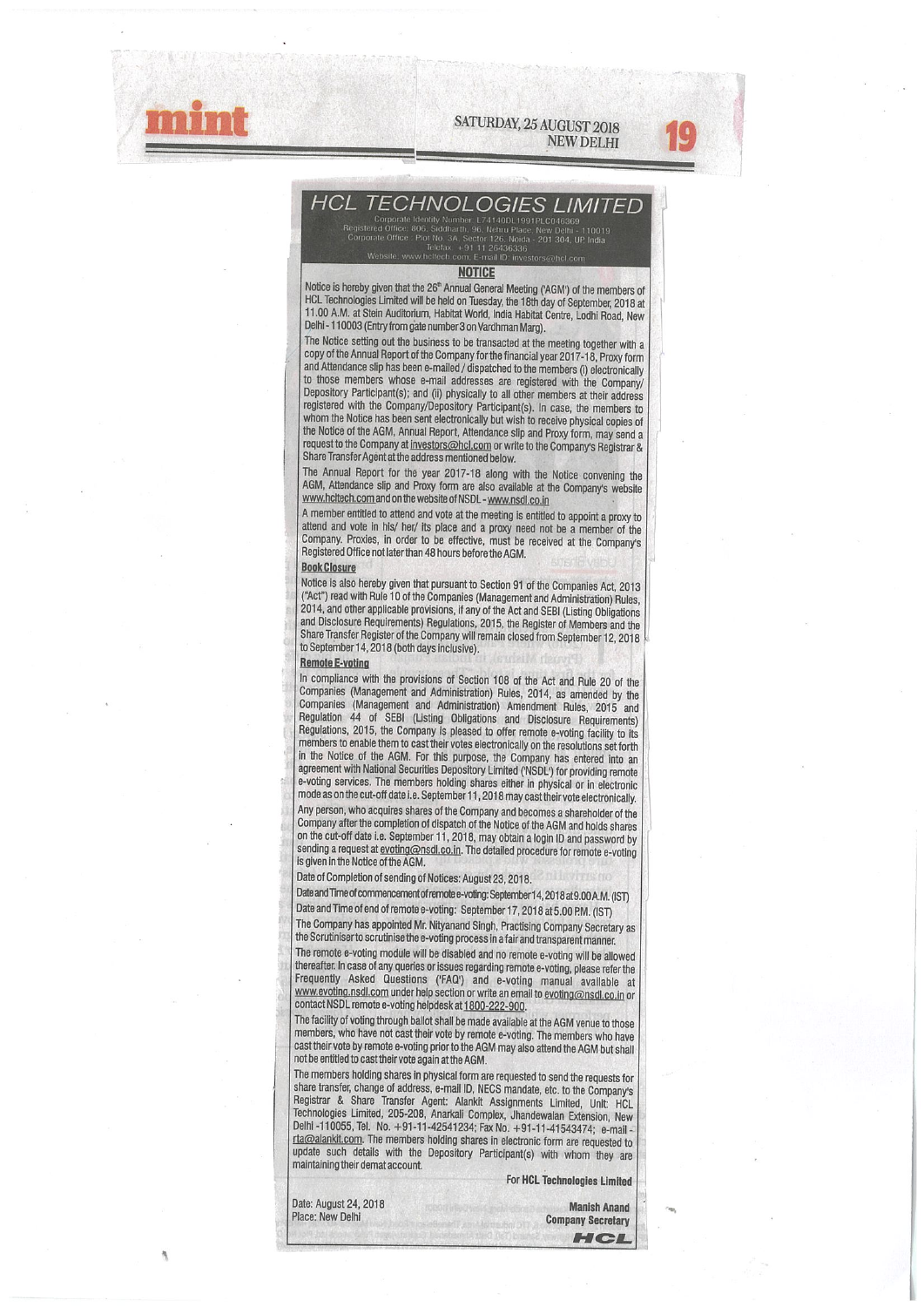SATURDAY, 25 AUGUST 2018





# **HCL TECHNOLOGIES LIMITED**

Notice is hereby given that the 26" Annual General Meeting ('AGM') of the members of<br>HCL Technologies Limited will be held on Tuesday, the 18th day of September, 2018 at 11.00 A.M. at Stein Auditorium, Habitat World, India Habitat Centre, Lodhi Road, New Delhi - 110003 (Entry from gate number 3 on Vardhman Marg).

The Notice setting out the business to be transacted at the meeting together with a SATURDAY, 25 AUGUST<br>
NEW DI<br>
NEW DI<br>
Considerable and the Contract of the Company of the Contract of the Company of the Constant of the Contract of the Contract of the Contract of the Contract of the Consideration of the s copy of the Annual Report of the Company for the financial year 2017-18, Proxy form<br>and Attendance slip has been e-mailed / dispatched to the members (i) electronically to those members whose e-mail addresses are registered with the Company/ Depository Participant(s); and (ii) physically to all other members at their address<br>registered with the Company/Depository Participant(s). In case, the members to whom the Notice has been sent electronically but wish to receive physical copies of the Notice of the AGM, Annual Report, Attendance slip and Proxy form, may send a request to the Company at investors@hcl.com or write to the Company's Registrar & Share Transfer Agent at the address mentioned below.

The Annual Report for the year 2017-18 along with the Notice convening the AGM, Attendance slip and Proxy form are also available at the Company's website www.hcttech.com and on the website of NSDL - www.nsdl.co.in

A member entitled to attend and vote at the meeting is entitled to appoint a proxy to attend and vote in his/ her/ its place and a proxy need not be a member of the Company. Proxies, in order to be effective, must be received at the Company's Registered Office not later than 48 hours before the AGM.

#### **Book Closure**

Notice is also hereby given that pursuant to Section 91 of the Companies Act, 2013 ("Act") read with Rule 10 of the Companies (Management and Administration) Rules. 2014, and other applicable provisions, if any of the Act and SEBI (Listing Obligations and Disclosure Requirements) Regulations, 2015, the Register of Members and me Share Transfer Register of the Company will remain closed from September12, 2018 to September 14, 2018 (both days inclusive).

#### Remote E-voting

In compliance with the provisions of Section 108 of the Act and Rule 20 of the Companies (Management and Administration) Rules, 2014, as amended by the Companies (Management and Administration) Amendment Rules, 2015 and Regulation 44 of SEW (Usling Obligations and DIsclosure RequIrements) Regulations, 2015, the Company Is pleased to offer remote e-voting faclihy to its members to enable them to cast their votes electronically on the resolutions set forth in the Notice of me AGM. For this purpose, the Company has entered Into an agreement with National Securities Depository Limited ('NSDL') for providing remote e-voting services. The members holding shares either in physical or in electronic mode as on the cut-off date i.e. September 11, 2018 may cast their vote electronically. Any person, who acquires shares of the Company and becomes a shareholder of the Company after the completion of dispatch of the Notice of the AGM and holds shares on the cut-off date i.e. September 11, 2018, may obtain a login ID and password by sending a request at evoting@nsdl.co.in. The detailed procedure for remote e-voting is given in the Notice of the AGM.

Date of Completion of sending of Notices: August 23, 2018.

Date and Time of commencement of remote e-voting: September 14, 2018 at 9.00 A.M. (IST) Date and Time of end of remote e-voting: September 17, 2018 at 5.00 P.M. (IST)

The Company has appointed Mr. Nityanand Singh, Practising Company Secretary as the Scrutiniser to scrutinise the e-voting process in a fair and transparent manner.

The remote e-voting module will be disabled and no remote e-voting will be allowed thereafter. In case of any queries or issues regarding remote e-voting, please refer the Frequently Asked Questions ('FAQ') and e-voting manual available at www.evoting.nsdl.com under help section or write an email to evoting@nsdl.co.in or contact NSDL remote e-voting helpdesk at 1800-222-900.

The facility of voting through ballot shall be made available at the AGM venue to those members, who have not cast their vote by remote e-votlng. The members who have cast their vote by remote e-voting prior to the AGM may also attend the AGM but shall not be entitled to cast their vote again at the AGM.

The members holding shares in physical form are requested to send the requests for share transfer, change of address, e-mail ID, NECS mandate, etc. to the Company's Registrar & Share Transfer Agent: Alankit Assignments Limited, Unity HCL Technologies Limited, 205-208, Anarkali Complex, Jhandewalan Extension, New Dethl-110055, Tel, No. +91-11-42541234; FaxNo. +91-11-41543474; e-maIl rta@alankit.com. The members holding shares in electronic form are requested to update such details with the Depository Participant(s) with whom they are maintaining their demat account.

For HCL Technologies Limited

| Date: August 24, 2018 | <b>Manish Anand</b>      |
|-----------------------|--------------------------|
| Place: New Delhi      | <b>Company Secretary</b> |
|                       | HCL                      |